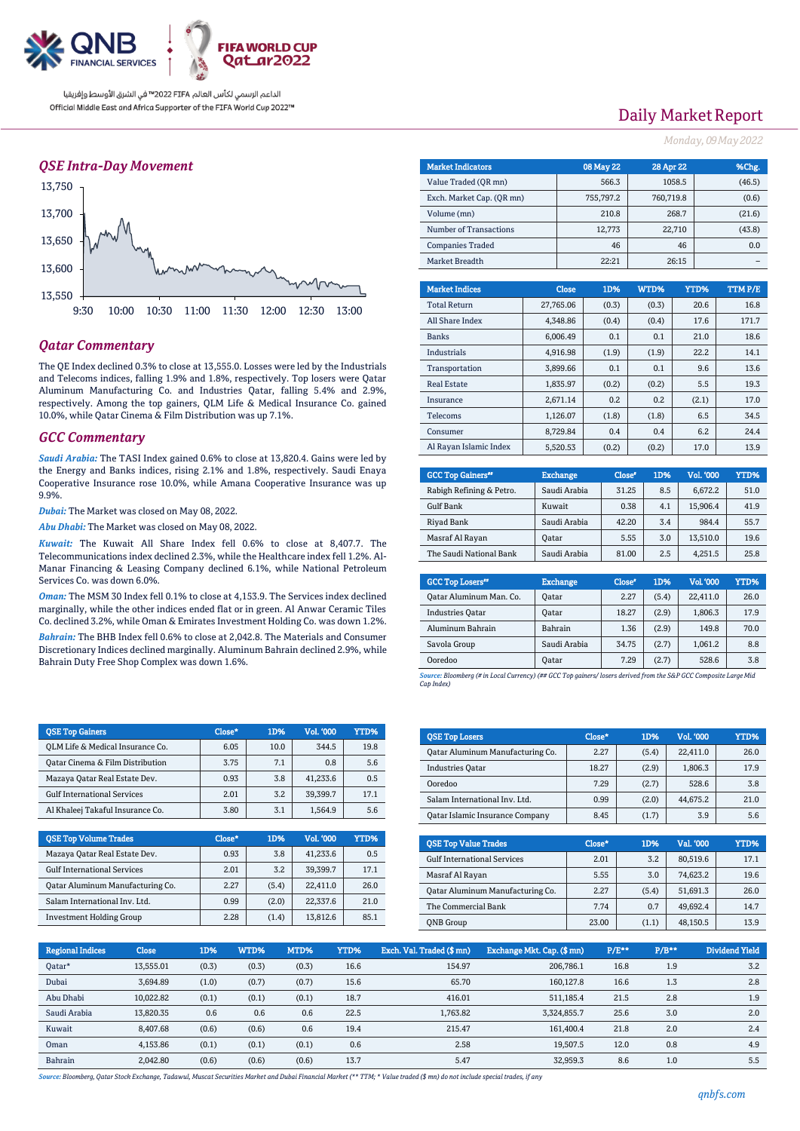

الداعم الرسمي لكأس العالم PIFA™ في الشرق الأوسط وإفريقيا Official Middle East and Africa Supporter of the FIFA World Cup 2022™

### *QSE Intra-Day Movement*



### *Qatar Commentary*

The QE Index declined 0.3% to close at 13,555.0. Losses were led by the Industrials and Telecoms indices, falling 1.9% and 1.8%, respectively. Top losers were Qatar Aluminum Manufacturing Co. and Industries Qatar, falling 5.4% and 2.9%, respectively. Among the top gainers, QLM Life & Medical Insurance Co. gained 10.0%, while Qatar Cinema & Film Distribution was up 7.1%.

### *GCC Commentary*

*Saudi Arabia:* The TASI Index gained 0.6% to close at 13,820.4. Gains were led by the Energy and Banks indices, rising 2.1% and 1.8%, respectively. Saudi Enaya Cooperative Insurance rose 10.0%, while Amana Cooperative Insurance was up 9.9%.

*Dubai:* The Market was closed on May 08, 2022.

*Abu Dhabi:* The Market was closed on May 08, 2022.

*Kuwait:* The Kuwait All Share Index fell 0.6% to close at 8,407.7. The Telecommunications index declined 2.3%, while the Healthcare index fell 1.2%. Al-Manar Financing & Leasing Company declined 6.1%, while National Petroleum Services Co. was down 6.0%.

*Oman:* The MSM 30 Index fell 0.1% to close at 4,153.9. The Services index declined marginally, while the other indices ended flat or in green. Al Anwar Ceramic Tiles Co. declined 3.2%, while Oman & Emirates Investment Holding Co. was down 1.2%.

*Bahrain:* The BHB Index fell 0.6% to close at 2,042.8. The Materials and Consumer Discretionary Indices declined marginally. Aluminum Bahrain declined 2.9%, while Bahrain Duty Free Shop Complex was down 1.6%.

| <b>QSE Top Gainers</b>             | Close* | 1D%  | <b>Vol. '000</b> | YTD% |
|------------------------------------|--------|------|------------------|------|
| OLM Life & Medical Insurance Co.   | 6.05   | 10.0 | 344.5            | 19.8 |
| Oatar Cinema & Film Distribution   | 3.75   | 7.1  | 0.8              | 5.6  |
| Mazaya Qatar Real Estate Dev.      | 0.93   | 3.8  | 41.233.6         | 0.5  |
| <b>Gulf International Services</b> | 2.01   | 3.2  | 39.399.7         | 17.1 |
| Al Khaleej Takaful Insurance Co.   | 3.80   | 3.1  | 1.564.9          | 5.6  |

| <b>OSE Top Volume Trades</b>       | Close* | 1D%   | Vol. '000 | YTD% |
|------------------------------------|--------|-------|-----------|------|
| Mazaya Qatar Real Estate Dev.      | 0.93   | 3.8   | 41.233.6  | 0.5  |
| <b>Gulf International Services</b> | 2.01   | 3.2   | 39.399.7  | 17.1 |
| Qatar Aluminum Manufacturing Co.   | 2.27   | (5.4) | 22.411.0  | 26.0 |
| Salam International Inv. Ltd.      | 0.99   | (2.0) | 22,337.6  | 21.0 |
| <b>Investment Holding Group</b>    | 2.28   | (1.4) | 13,812.6  | 85.1 |

# Daily Market Report

*Monday, 09May2022*

| <b>Market Indicators</b>  | 08 May 22 | 28 Apr 22 | %Chg.  |
|---------------------------|-----------|-----------|--------|
| Value Traded (OR mn)      | 566.3     | 1058.5    | (46.5) |
| Exch. Market Cap. (OR mn) | 755.797.2 | 760,719.8 | (0.6)  |
| Volume (mn)               | 210.8     | 268.7     | (21.6) |
| Number of Transactions    | 12,773    | 22,710    | (43.8) |
| <b>Companies Traded</b>   | 46        | 46        | 0.0    |
| Market Breadth            | 22:21     | 26:15     |        |
|                           |           |           |        |

| <b>Market Indices</b>  | <b>Close</b> | 1D%   | WTD%  | YTD%  | TTM P/E |
|------------------------|--------------|-------|-------|-------|---------|
| <b>Total Return</b>    | 27,765.06    | (0.3) | (0.3) | 20.6  | 16.8    |
| All Share Index        | 4,348.86     | (0.4) | (0.4) | 17.6  | 171.7   |
| <b>Banks</b>           | 6.006.49     | 0.1   | 0.1   | 21.0  | 18.6    |
| <b>Industrials</b>     | 4.916.98     | (1.9) | (1.9) | 22.2  | 14.1    |
| Transportation         | 3.899.66     | 0.1   | 0.1   | 9.6   | 13.6    |
| <b>Real Estate</b>     | 1,835.97     | (0.2) | (0.2) | 5.5   | 19.3    |
| Insurance              | 2.671.14     | 0.2   | 0.2   | (2.1) | 17.0    |
| <b>Telecoms</b>        | 1.126.07     | (1.8) | (1.8) | 6.5   | 34.5    |
| Consumer               | 8,729.84     | 0.4   | 0.4   | 6.2   | 24.4    |
| Al Rayan Islamic Index | 5.520.53     | (0.2) | (0.2) | 17.0  | 13.9    |

| <b>GCC Top Gainers</b> " | <b>Exchange</b> | Close* | 1D% | Vol. '000 | YTD% |
|--------------------------|-----------------|--------|-----|-----------|------|
| Rabigh Refining & Petro. | Saudi Arabia    | 31.25  | 8.5 | 6.672.2   | 51.0 |
| Gulf Bank                | Kuwait          | 0.38   | 4.1 | 15.906.4  | 41.9 |
| Riyad Bank               | Saudi Arabia    | 42.20  | 3.4 | 984.4     | 55.7 |
| Masraf Al Rayan          | Oatar           | 5.55   | 3.0 | 13.510.0  | 19.6 |
| The Saudi National Bank  | Saudi Arabia    | 81.00  | 2.5 | 4,251.5   | 25.8 |

| <b>GCC Top Losers</b> " | <b>Exchange</b> | Close <sup>®</sup> | 1D%   | <b>Vol.'000</b> | YTD% |
|-------------------------|-----------------|--------------------|-------|-----------------|------|
| Qatar Aluminum Man. Co. | Oatar           | 2.27               | (5.4) | 22,411.0        | 26.0 |
| <b>Industries Oatar</b> | Oatar           | 18.27              | (2.9) | 1,806.3         | 17.9 |
| Aluminum Bahrain        | Bahrain         | 1.36               | (2.9) | 149.8           | 70.0 |
| Savola Group            | Saudi Arabia    | 34.75              | (2.7) | 1,061.2         | 8.8  |
| Ooredoo                 | Oatar           | 7.29               | (2.7) | 528.6           | 3.8  |

*Source: Bloomberg (# in Local Currency) (## GCC Top gainers/ losers derived from the S&P GCC Composite Large Mid Cap Index)*

| <b>QSE Top Losers</b>            | Close* | 1D%   | <b>Vol. '000</b> | YTD% |
|----------------------------------|--------|-------|------------------|------|
| Qatar Aluminum Manufacturing Co. | 2.27   | (5.4) | 22.411.0         | 26.0 |
| <b>Industries Oatar</b>          | 18.27  | (2.9) | 1.806.3          | 17.9 |
| Ooredoo                          | 7.29   | (2.7) | 528.6            | 3.8  |
| Salam International Inv. Ltd.    | 0.99   | (2.0) | 44.675.2         | 21.0 |
| Qatar Islamic Insurance Company  | 8.45   | (1.7) | 3.9              | 5.6  |

| <b>QSE Top Value Trades</b>        | Close* | 1D%   | Val. '000 | YTD% |
|------------------------------------|--------|-------|-----------|------|
| <b>Gulf International Services</b> | 2.01   | 3.2   | 80.519.6  | 17.1 |
| Masraf Al Rayan                    | 5.55   | 3.0   | 74.623.2  | 19.6 |
| Oatar Aluminum Manufacturing Co.   | 2.27   | (5.4) | 51,691.3  | 26.0 |
| The Commercial Bank                | 7.74   | 0.7   | 49.692.4  | 14.7 |
| <b>ONB</b> Group                   | 23.00  | (1.1) | 48.150.5  | 13.9 |

| <b>Regional Indices</b> | <b>Close</b> | 1D%   | WTD%  | MTD%  | YTD% | Exch. Val. Traded (\$mn) | Exchange Mkt. Cap. (\$mn) | $P/E***$ | $P/B***$ | Dividend Yield |
|-------------------------|--------------|-------|-------|-------|------|--------------------------|---------------------------|----------|----------|----------------|
| Oatar*                  | 13,555.01    | (0.3) | (0.3) | (0.3) | 16.6 | 154.97                   | 206.786.1                 | 16.8     | 1.9      | 3.2            |
| Dubai                   | 3.694.89     | (1.0) | (0.7) | (0.7) | 15.6 | 65.70                    | 160.127.8                 | 16.6     | 1.3      | 2.8            |
| Abu Dhabi               | 10,022.82    | (0.1) | (0.1) | (0.1) | 18.7 | 416.01                   | 511,185.4                 | 21.5     | 2.8      | 1.9            |
| Saudi Arabia            | 13.820.35    | 0.6   | 0.6   | 0.6   | 22.5 | 1.763.82                 | 3,324,855.7               | 25.6     | 3.0      | 2.0            |
| Kuwait                  | 8.407.68     | (0.6) | (0.6) | 0.6   | 19.4 | 215.47                   | 161.400.4                 | 21.8     | 2.0      | 2.4            |
| Oman                    | 4,153.86     | (0.1) | (0.1) | (0.1) | 0.6  | 2.58                     | 19.507.5                  | 12.0     | 0.8      | 4.9            |
| Bahrain                 | 2.042.80     | (0.6) | (0.6) | (0.6) | 13.7 | 5.47                     | 32.959.3                  | 8.6      | 1.0      | 5.5            |

*Source: Bloomberg, Qatar Stock Exchange, Tadawul, Muscat Securities Market and Dubai Financial Market (\*\* TTM; \* Value traded (\$ mn) do not include special trades, if any*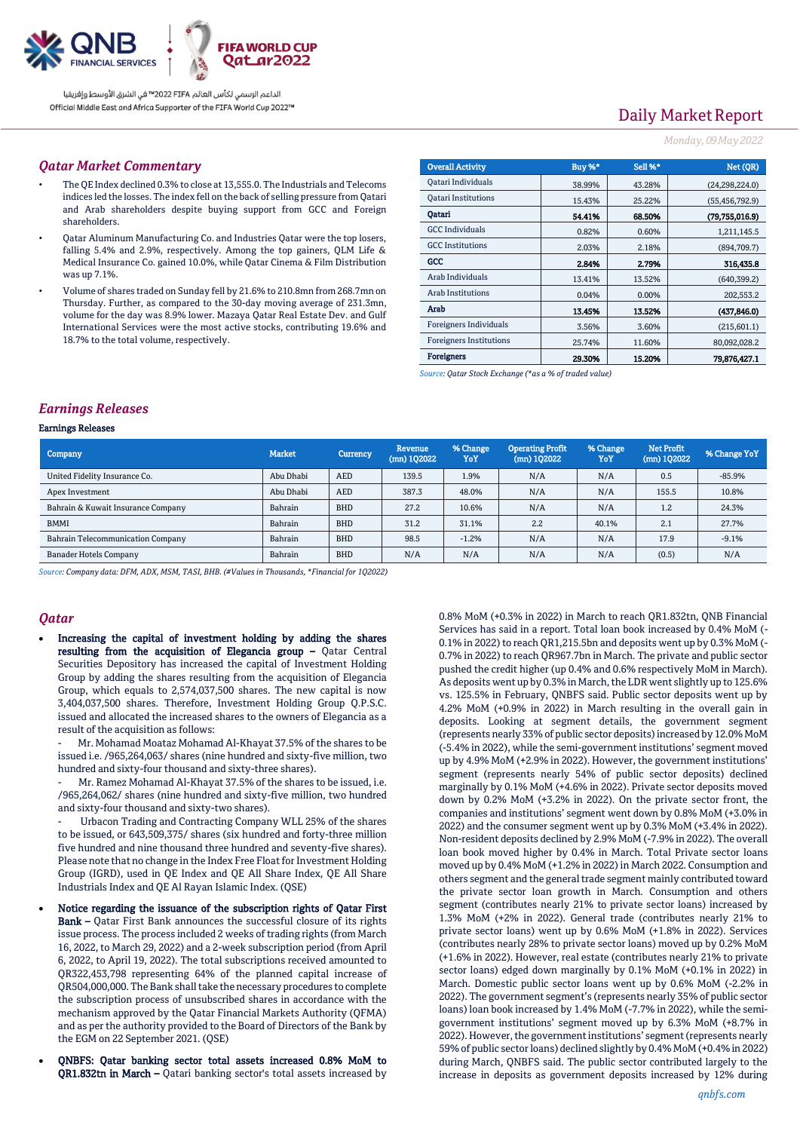

الداعم الرسمى لكأس العالم PIFA™ في الشرق الأوسط وإفريقيا Official Middle East and Africa Supporter of the FIFA World Cup 2022™

# Daily Market Report

#### *Monday, 09May2022*

### *Qatar Market Commentary*

- The QE Index declined 0.3% to close at 13,555.0. The Industrials and Telecoms indices led the losses. The index fell on the back of selling pressure from Qatari and Arab shareholders despite buying support from GCC and Foreign shareholders.
- Qatar Aluminum Manufacturing Co. and Industries Qatar were the top losers, falling 5.4% and 2.9%, respectively. Among the top gainers, QLM Life & Medical Insurance Co. gained 10.0%, while Qatar Cinema & Film Distribution was up 7.1%.
- Volume of shares traded on Sunday fell by 21.6% to 210.8mn from 268.7mn on Thursday. Further, as compared to the 30-day moving average of 231.3mn, volume for the day was 8.9% lower. Mazaya Qatar Real Estate Dev. and Gulf International Services were the most active stocks, contributing 19.6% and 18.7% to the total volume, respectively.

| <b>Overall Activity</b>        | Buy %* | Sell %* | Net (QR)         |
|--------------------------------|--------|---------|------------------|
| Qatari Individuals             | 38.99% | 43.28%  | (24, 298, 224.0) |
| <b>Oatari Institutions</b>     | 15.43% | 25.22%  | (55, 456, 792.9) |
| Oatari                         | 54.41% | 68.50%  | (79,755,016.9)   |
| <b>GCC</b> Individuals         | 0.82%  | 0.60%   | 1,211,145.5      |
| <b>GCC</b> Institutions        | 2.03%  | 2.18%   | (894,709.7)      |
| GCC                            | 2.84%  | 2.79%   | 316,435.8        |
| Arab Individuals               | 13.41% | 13.52%  | (640, 399.2)     |
| Arab Institutions              | 0.04%  | 0.00%   | 202,553.2        |
| Arab                           | 13.45% | 13.52%  | (437, 846.0)     |
| Foreigners Individuals         | 3.56%  | 3.60%   | (215, 601.1)     |
| <b>Foreigners Institutions</b> | 25.74% | 11.60%  | 80,092,028.2     |
| <b>Foreigners</b>              | 29.30% | 15.20%  | 79.876.427.1     |

*Source: Qatar Stock Exchange (\*as a % of traded value)*

### *Earnings Releases*

#### Earnings Releases

| Company                            | <b>Market</b> | Currency   | Revenue<br>$(mn)$ 102022 | % Change<br>YoY | <b>Operating Profit</b><br>$(mn)$ 102022 | % Change<br>YoY | Net Profit<br>$(mn)$ 102022 | % Change YoY |
|------------------------------------|---------------|------------|--------------------------|-----------------|------------------------------------------|-----------------|-----------------------------|--------------|
| United Fidelity Insurance Co.      | Abu Dhabi     | <b>AED</b> | 139.5                    | 1.9%            | N/A                                      | N/A             | 0.5                         | $-85.9%$     |
| Apex Investment                    | Abu Dhabi     | <b>AED</b> | 387.3                    | 48.0%           | N/A                                      | N/A             | 155.5                       | 10.8%        |
| Bahrain & Kuwait Insurance Company | Bahrain       | <b>BHD</b> | 27.2                     | 10.6%           | N/A                                      | N/A             | 1.2                         | 24.3%        |
| <b>BMMI</b>                        | Bahrain       | <b>BHD</b> | 31.2                     | 31.1%           | 2.2                                      | 40.1%           | 2.1                         | 27.7%        |
| Bahrain Telecommunication Company  | Bahrain       | <b>BHD</b> | 98.5                     | $-1.2%$         | N/A                                      | N/A             | 17.9                        | $-9.1%$      |
| <b>Banader Hotels Company</b>      | Bahrain       | <b>BHD</b> | N/A                      | N/A             | N/A                                      | N/A             | (0.5)                       | N/A          |

*Source: Company data: DFM, ADX, MSM, TASI, BHB. (#Values in Thousands, \*Financial for 1Q2022)*

### *Qatar*

 Increasing the capital of investment holding by adding the shares resulting from the acquisition of Elegancia group – Qatar Central Securities Depository has increased the capital of Investment Holding Group by adding the shares resulting from the acquisition of Elegancia Group, which equals to 2,574,037,500 shares. The new capital is now 3,404,037,500 shares. Therefore, Investment Holding Group Q.P.S.C. issued and allocated the increased shares to the owners of Elegancia as a result of the acquisition as follows:

Mr. Mohamad Moataz Mohamad Al-Khayat 37.5% of the shares to be issued i.e. /965,264,063/ shares (nine hundred and sixty-five million, two hundred and sixty-four thousand and sixty-three shares).

Mr. Ramez Mohamad Al-Khayat 37.5% of the shares to be issued, i.e. /965,264,062/ shares (nine hundred and sixty-five million, two hundred and sixty-four thousand and sixty-two shares).

Urbacon Trading and Contracting Company WLL 25% of the shares to be issued, or 643,509,375/ shares (six hundred and forty-three million five hundred and nine thousand three hundred and seventy-five shares). Please note that no change in the Index Free Float for Investment Holding Group (IGRD), used in QE Index and QE All Share Index, QE All Share Industrials Index and QE Al Rayan Islamic Index. (QSE)

- Notice regarding the issuance of the subscription rights of Qatar First Bank – Qatar First Bank announces the successful closure of its rights issue process. The process included 2 weeks of trading rights (from March 16, 2022, to March 29, 2022) and a 2-week subscription period (from April 6, 2022, to April 19, 2022). The total subscriptions received amounted to QR322,453,798 representing 64% of the planned capital increase of QR504,000,000. The Bank shall take the necessary procedures to complete the subscription process of unsubscribed shares in accordance with the mechanism approved by the Qatar Financial Markets Authority (QFMA) and as per the authority provided to the Board of Directors of the Bank by the EGM on 22 September 2021. (QSE)
- QNBFS: Qatar banking sector total assets increased 0.8% MoM to QR1.832tn in March – Qatari banking sector's total assets increased by

0.8% MoM (+0.3% in 2022) in March to reach QR1.832tn, QNB Financial Services has said in a report. Total loan book increased by 0.4% MoM (- 0.1% in 2022) to reach QR1,215.5bn and deposits went up by 0.3% MoM (- 0.7% in 2022) to reach QR967.7bn in March. The private and public sector pushed the credit higher (up 0.4% and 0.6% respectively MoM in March). As deposits went up by 0.3% in March, the LDR went slightly up to 125.6% vs. 125.5% in February, QNBFS said. Public sector deposits went up by 4.2% MoM (+0.9% in 2022) in March resulting in the overall gain in deposits. Looking at segment details, the government segment (represents nearly 33% of public sector deposits) increased by 12.0% MoM (-5.4% in 2022), while the semi-government institutions' segment moved up by 4.9% MoM (+2.9% in 2022). However, the government institutions' segment (represents nearly 54% of public sector deposits) declined marginally by 0.1% MoM (+4.6% in 2022). Private sector deposits moved down by 0.2% MoM (+3.2% in 2022). On the private sector front, the companies and institutions' segment went down by 0.8% MoM (+3.0% in 2022) and the consumer segment went up by 0.3% MoM (+3.4% in 2022). Non-resident deposits declined by 2.9% MoM (-7.9% in 2022). The overall loan book moved higher by 0.4% in March. Total Private sector loans moved up by 0.4% MoM (+1.2% in 2022) in March 2022. Consumption and others segment and the general trade segment mainly contributed toward the private sector loan growth in March. Consumption and others segment (contributes nearly 21% to private sector loans) increased by 1.3% MoM (+2% in 2022). General trade (contributes nearly 21% to private sector loans) went up by 0.6% MoM (+1.8% in 2022). Services (contributes nearly 28% to private sector loans) moved up by 0.2% MoM (+1.6% in 2022). However, real estate (contributes nearly 21% to private sector loans) edged down marginally by 0.1% MoM (+0.1% in 2022) in March. Domestic public sector loans went up by 0.6% MoM (-2.2% in 2022). The government segment's (represents nearly 35% of public sector loans) loan book increased by 1.4% MoM (-7.7% in 2022), while the semigovernment institutions' segment moved up by 6.3% MoM (+8.7% in 2022). However, the government institutions' segment (represents nearly 59% of public sector loans) declined slightly by 0.4% MoM (+0.4% in 2022) during March, QNBFS said. The public sector contributed largely to the increase in deposits as government deposits increased by 12% during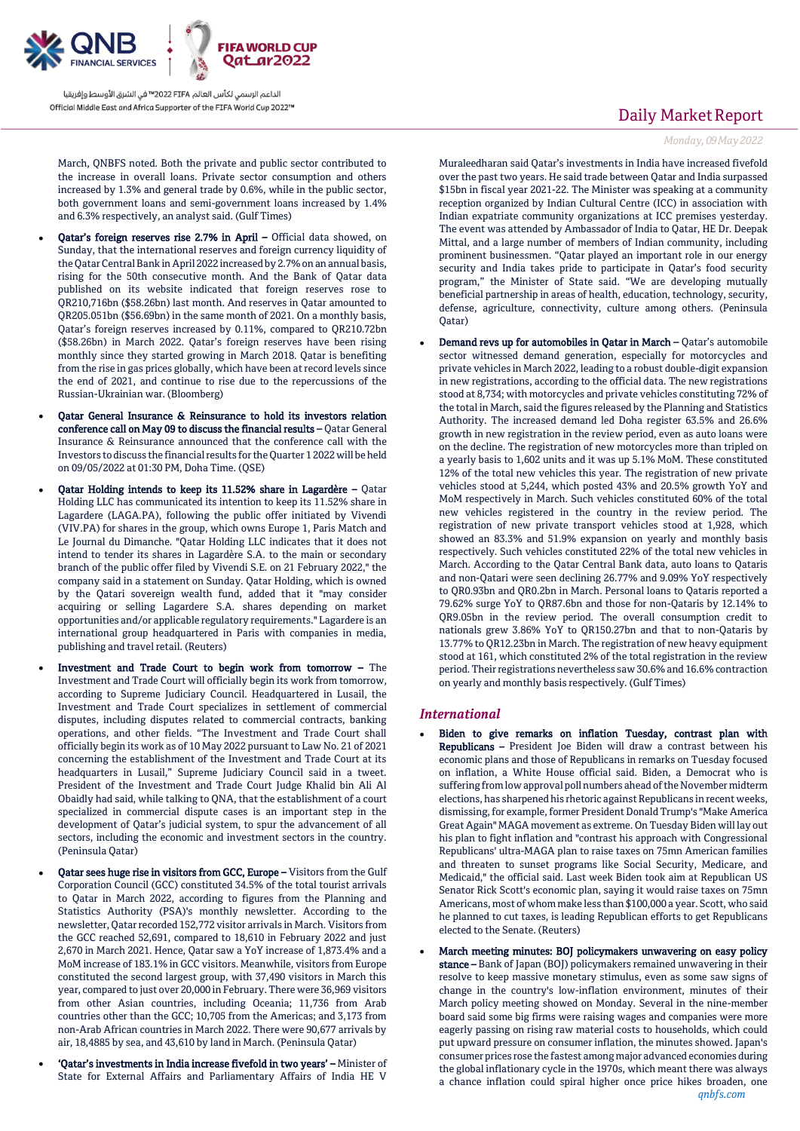

الداعم الرسمي لكأس العالم PIFA™ في الشرق الأوسط وإفريقيا Official Middle East and Africa Supporter of the FIFA World Cup 2022™

March, QNBFS noted. Both the private and public sector contributed to the increase in overall loans. Private sector consumption and others increased by 1.3% and general trade by 0.6%, while in the public sector, both government loans and semi-government loans increased by 1.4% and 6.3% respectively, an analyst said. (Gulf Times)

- Qatar's foreign reserves rise 2.7% in April Official data showed, on Sunday, that the international reserves and foreign currency liquidity of the Qatar Central Bank in April 2022 increased by 2.7% on an annual basis, rising for the 50th consecutive month. And the Bank of Qatar data published on its website indicated that foreign reserves rose to QR210,716bn (\$58.26bn) last month. And reserves in Qatar amounted to QR205.051bn (\$56.69bn) in the same month of 2021. On a monthly basis, Qatar's foreign reserves increased by 0.11%, compared to QR210.72bn (\$58.26bn) in March 2022. Qatar's foreign reserves have been rising monthly since they started growing in March 2018. Qatar is benefiting from the rise in gas prices globally, which have been at record levels since the end of 2021, and continue to rise due to the repercussions of the Russian-Ukrainian war. (Bloomberg)
- Qatar General Insurance & Reinsurance to hold its investors relation conference call on May 09 to discuss the financial results – Qatar General Insurance & Reinsurance announced that the conference call with the Investors to discuss the financial results for the Quarter 1 2022 will be held on 09/05/2022 at 01:30 PM, Doha Time. (QSE)
- Qatar Holding intends to keep its 11.52% share in Lagardère Qatar Holding LLC has communicated its intention to keep its 11.52% share in Lagardere (LAGA.PA), following the public offer initiated by Vivendi (VIV.PA) for shares in the group, which owns Europe 1, Paris Match and Le Journal du Dimanche. "Qatar Holding LLC indicates that it does not intend to tender its shares in Lagardère S.A. to the main or secondary branch of the public offer filed by Vivendi S.E. on 21 February 2022," the company said in a statement on Sunday. Qatar Holding, which is owned by the Qatari sovereign wealth fund, added that it "may consider acquiring or selling Lagardere S.A. shares depending on market opportunities and/or applicable regulatory requirements." Lagardere is an international group headquartered in Paris with companies in media, publishing and travel retail. (Reuters)
- Investment and Trade Court to begin work from tomorrow The Investment and Trade Court will officially begin its work from tomorrow, according to Supreme Judiciary Council. Headquartered in Lusail, the Investment and Trade Court specializes in settlement of commercial disputes, including disputes related to commercial contracts, banking operations, and other fields. "The Investment and Trade Court shall officially begin its work as of 10 May 2022 pursuant to Law No. 21 of 2021 concerning the establishment of the Investment and Trade Court at its headquarters in Lusail," Supreme Judiciary Council said in a tweet. President of the Investment and Trade Court Judge Khalid bin Ali Al Obaidly had said, while talking to QNA, that the establishment of a court specialized in commercial dispute cases is an important step in the development of Qatar's judicial system, to spur the advancement of all sectors, including the economic and investment sectors in the country. (Peninsula Qatar)
- Qatar sees huge rise in visitors from GCC, Europe Visitors from the Gulf Corporation Council (GCC) constituted 34.5% of the total tourist arrivals to Qatar in March 2022, according to figures from the Planning and Statistics Authority (PSA)'s monthly newsletter. According to the newsletter, Qatar recorded 152,772 visitor arrivals in March. Visitors from the GCC reached 52,691, compared to 18,610 in February 2022 and just 2,670 in March 2021. Hence, Qatar saw a YoY increase of 1,873.4% and a MoM increase of 183.1% in GCC visitors. Meanwhile, visitors from Europe constituted the second largest group, with 37,490 visitors in March this year, compared to just over 20,000 in February. There were 36,969 visitors from other Asian countries, including Oceania; 11,736 from Arab countries other than the GCC; 10,705 from the Americas; and 3,173 from non-Arab African countries in March 2022. There were 90,677 arrivals by air, 18,4885 by sea, and 43,610 by land in March. (Peninsula Qatar)
- 'Qatar's investments in India increase fivefold in two years' Minister of State for External Affairs and Parliamentary Affairs of India HE V

## Daily Market Report

#### *Monday, 09May2022*

Muraleedharan said Qatar's investments in India have increased fivefold over the past two years. He said trade between Qatar and India surpassed \$15bn in fiscal year 2021-22. The Minister was speaking at a community reception organized by Indian Cultural Centre (ICC) in association with Indian expatriate community organizations at ICC premises yesterday. The event was attended by Ambassador of India to Qatar, HE Dr. Deepak Mittal, and a large number of members of Indian community, including prominent businessmen. "Qatar played an important role in our energy security and India takes pride to participate in Qatar's food security program," the Minister of State said. "We are developing mutually beneficial partnership in areas of health, education, technology, security, defense, agriculture, connectivity, culture among others. (Peninsula Qatar)

 Demand revs up for automobiles in Qatar in March – Qatar's automobile sector witnessed demand generation, especially for motorcycles and private vehicles in March 2022, leading to a robust double-digit expansion in new registrations, according to the official data. The new registrations stood at 8,734; with motorcycles and private vehicles constituting 72% of the total in March, said the figures released by the Planning and Statistics Authority. The increased demand led Doha register 63.5% and 26.6% growth in new registration in the review period, even as auto loans were on the decline. The registration of new motorcycles more than tripled on a yearly basis to 1,602 units and it was up 5.1% MoM. These constituted 12% of the total new vehicles this year. The registration of new private vehicles stood at 5,244, which posted 43% and 20.5% growth YoY and MoM respectively in March. Such vehicles constituted 60% of the total new vehicles registered in the country in the review period. The registration of new private transport vehicles stood at 1,928, which showed an 83.3% and 51.9% expansion on yearly and monthly basis respectively. Such vehicles constituted 22% of the total new vehicles in March. According to the Qatar Central Bank data, auto loans to Qataris and non-Qatari were seen declining 26.77% and 9.09% YoY respectively to QR0.93bn and QR0.2bn in March. Personal loans to Qataris reported a 79.62% surge YoY to QR87.6bn and those for non-Qataris by 12.14% to QR9.05bn in the review period. The overall consumption credit to nationals grew 3.86% YoY to QR150.27bn and that to non-Qataris by 13.77% to QR12.23bn in March. The registration of new heavy equipment stood at 161, which constituted 2% of the total registration in the review period. Their registrations nevertheless saw 30.6% and 16.6% contraction on yearly and monthly basis respectively. (Gulf Times)

#### *International*

- Biden to give remarks on inflation Tuesday, contrast plan with Republicans – President Joe Biden will draw a contrast between his economic plans and those of Republicans in remarks on Tuesday focused on inflation, a White House official said. Biden, a Democrat who is suffering from low approval poll numbers ahead of the November midterm elections, has sharpened his rhetoric against Republicans in recent weeks, dismissing, for example, former President Donald Trump's "Make America Great Again" MAGA movement as extreme. On Tuesday Biden will lay out his plan to fight inflation and "contrast his approach with Congressional Republicans' ultra-MAGA plan to raise taxes on 75mn American families and threaten to sunset programs like Social Security, Medicare, and Medicaid," the official said. Last week Biden took aim at Republican US Senator Rick Scott's economic plan, saying it would raise taxes on 75mn Americans, most of whom make less than \$100,000 a year. Scott, who said he planned to cut taxes, is leading Republican efforts to get Republicans elected to the Senate. (Reuters)
- March meeting minutes: BOJ policymakers unwavering on easy policy stance – Bank of Japan (BOJ) policymakers remained unwavering in their resolve to keep massive monetary stimulus, even as some saw signs of change in the country's low-inflation environment, minutes of their March policy meeting showed on Monday. Several in the nine-member board said some big firms were raising wages and companies were more eagerly passing on rising raw material costs to households, which could put upward pressure on consumer inflation, the minutes showed. Japan's consumer prices rose the fastest among major advanced economies during the global inflationary cycle in the 1970s, which meant there was always a chance inflation could spiral higher once price hikes broaden, one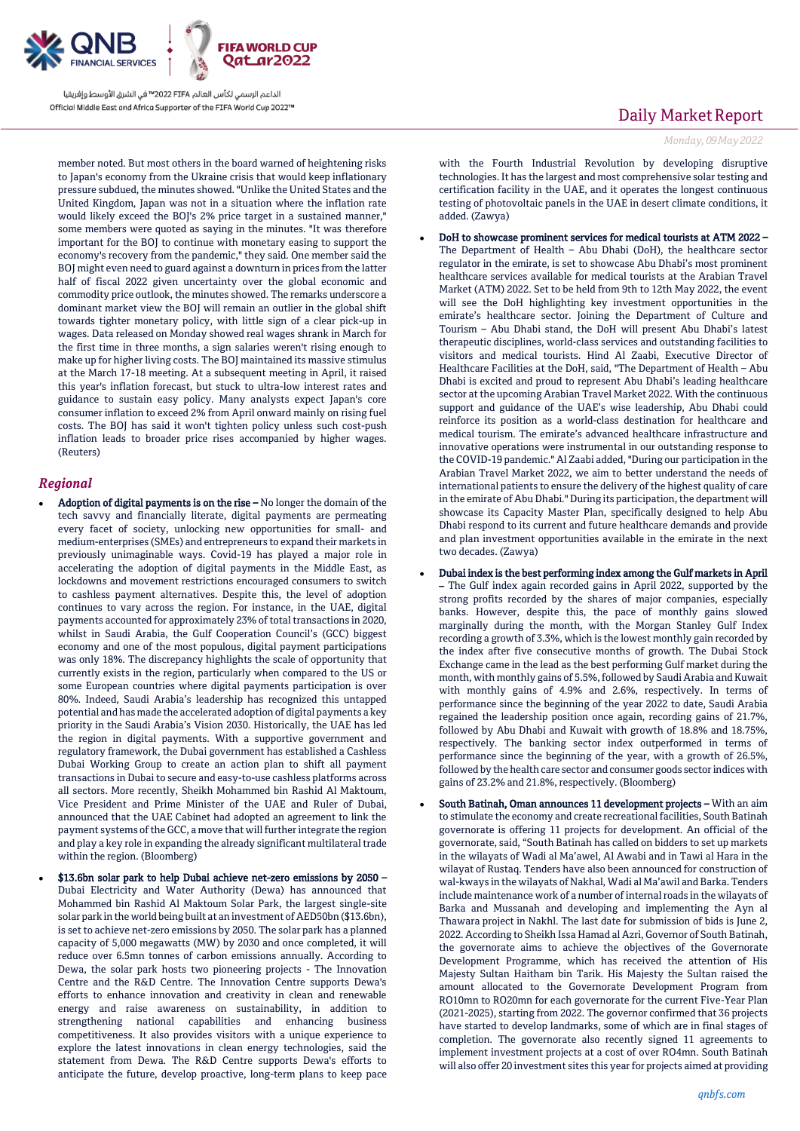

الداعم الرسمي لكأس العالم PIFA≤™ في الشرق الأوسط وإفريقيا Official Middle East and Africa Supporter of the FIFA World Cup 2022™

member noted. But most others in the board warned of heightening risks to Japan's economy from the Ukraine crisis that would keep inflationary pressure subdued, the minutes showed. "Unlike the United States and the United Kingdom, Japan was not in a situation where the inflation rate would likely exceed the BOJ's 2% price target in a sustained manner," some members were quoted as saying in the minutes. "It was therefore important for the BOJ to continue with monetary easing to support the economy's recovery from the pandemic," they said. One member said the BOJ might even need to guard against a downturn in prices from the latter half of fiscal 2022 given uncertainty over the global economic and commodity price outlook, the minutes showed. The remarks underscore a dominant market view the BOJ will remain an outlier in the global shift towards tighter monetary policy, with little sign of a clear pick-up in wages. Data released on Monday showed real wages shrank in March for the first time in three months, a sign salaries weren't rising enough to make up for higher living costs. The BOJ maintained its massive stimulus at the March 17-18 meeting. At a subsequent meeting in April, it raised this year's inflation forecast, but stuck to ultra-low interest rates and guidance to sustain easy policy. Many analysts expect Japan's core consumer inflation to exceed 2% from April onward mainly on rising fuel costs. The BOJ has said it won't tighten policy unless such cost-push inflation leads to broader price rises accompanied by higher wages. (Reuters)

### *Regional*

- Adoption of digital payments is on the rise No longer the domain of the tech savvy and financially literate, digital payments are permeating every facet of society, unlocking new opportunities for small- and medium-enterprises (SMEs) and entrepreneurs to expand their markets in previously unimaginable ways. Covid-19 has played a major role in accelerating the adoption of digital payments in the Middle East, as lockdowns and movement restrictions encouraged consumers to switch to cashless payment alternatives. Despite this, the level of adoption continues to vary across the region. For instance, in the UAE, digital payments accounted for approximately 23% of total transactions in 2020, whilst in Saudi Arabia, the Gulf Cooperation Council's (GCC) biggest economy and one of the most populous, digital payment participations was only 18%. The discrepancy highlights the scale of opportunity that currently exists in the region, particularly when compared to the US or some European countries where digital payments participation is over 80%. Indeed, Saudi Arabia's leadership has recognized this untapped potential and has made the accelerated adoption of digital payments a key priority in the Saudi Arabia's Vision 2030. Historically, the UAE has led the region in digital payments. With a supportive government and regulatory framework, the Dubai government has established a Cashless Dubai Working Group to create an action plan to shift all payment transactions in Dubai to secure and easy-to-use cashless platforms across all sectors. More recently, Sheikh Mohammed bin Rashid Al Maktoum, Vice President and Prime Minister of the UAE and Ruler of Dubai, announced that the UAE Cabinet had adopted an agreement to link the payment systems of the GCC, a move that will further integrate the region and play a key role in expanding the already significant multilateral trade within the region. (Bloomberg)
- \$13.6bn solar park to help Dubai achieve net-zero emissions by 2050 Dubai Electricity and Water Authority (Dewa) has announced that Mohammed bin Rashid Al Maktoum Solar Park, the largest single-site solar park in the world being built at an investment of AED50bn (\$13.6bn), is set to achieve net-zero emissions by 2050. The solar park has a planned capacity of 5,000 megawatts (MW) by 2030 and once completed, it will reduce over 6.5mn tonnes of carbon emissions annually. According to Dewa, the solar park hosts two pioneering projects - The Innovation Centre and the R&D Centre. The Innovation Centre supports Dewa's efforts to enhance innovation and creativity in clean and renewable energy and raise awareness on sustainability, in addition to strengthening national capabilities and enhancing business competitiveness. It also provides visitors with a unique experience to explore the latest innovations in clean energy technologies, said the statement from Dewa. The R&D Centre supports Dewa's efforts to anticipate the future, develop proactive, long-term plans to keep pace

## Daily Market Report

*Monday, 09May2022*

with the Fourth Industrial Revolution by developing disruptive technologies. It has the largest and most comprehensive solar testing and certification facility in the UAE, and it operates the longest continuous testing of photovoltaic panels in the UAE in desert climate conditions, it added. (Zawya)

- DoH to showcase prominent services for medical tourists at ATM 2022 The Department of Health – Abu Dhabi (DoH), the healthcare sector regulator in the emirate, is set to showcase Abu Dhabi's most prominent healthcare services available for medical tourists at the Arabian Travel Market (ATM) 2022. Set to be held from 9th to 12th May 2022, the event will see the DoH highlighting key investment opportunities in the emirate's healthcare sector. Joining the Department of Culture and Tourism – Abu Dhabi stand, the DoH will present Abu Dhabi's latest therapeutic disciplines, world-class services and outstanding facilities to visitors and medical tourists. Hind Al Zaabi, Executive Director of Healthcare Facilities at the DoH, said, "The Department of Health – Abu Dhabi is excited and proud to represent Abu Dhabi's leading healthcare sector at the upcoming Arabian Travel Market 2022. With the continuous support and guidance of the UAE's wise leadership, Abu Dhabi could reinforce its position as a world-class destination for healthcare and medical tourism. The emirate's advanced healthcare infrastructure and innovative operations were instrumental in our outstanding response to the COVID-19 pandemic." Al Zaabi added, "During our participation in the Arabian Travel Market 2022, we aim to better understand the needs of international patients to ensure the delivery of the highest quality of care in the emirate of Abu Dhabi." During its participation, the department will showcase its Capacity Master Plan, specifically designed to help Abu Dhabi respond to its current and future healthcare demands and provide and plan investment opportunities available in the emirate in the next two decades. (Zawya)
- Dubai index is the best performing index among the Gulf markets in April – The Gulf index again recorded gains in April 2022, supported by the strong profits recorded by the shares of major companies, especially banks. However, despite this, the pace of monthly gains slowed marginally during the month, with the Morgan Stanley Gulf Index recording a growth of 3.3%, which is the lowest monthly gain recorded by the index after five consecutive months of growth. The Dubai Stock Exchange came in the lead as the best performing Gulf market during the month, with monthly gains of 5.5%, followed by Saudi Arabia and Kuwait with monthly gains of 4.9% and 2.6%, respectively. In terms of performance since the beginning of the year 2022 to date, Saudi Arabia regained the leadership position once again, recording gains of 21.7%, followed by Abu Dhabi and Kuwait with growth of 18.8% and 18.75%, respectively. The banking sector index outperformed in terms of performance since the beginning of the year, with a growth of 26.5%, followed by the health care sector and consumer goods sector indices with gains of 23.2% and 21.8%, respectively. (Bloomberg)
- South Batinah, Oman announces 11 development projects With an aim to stimulate the economy and create recreational facilities, South Batinah governorate is offering 11 projects for development. An official of the governorate, said, "South Batinah has called on bidders to set up markets in the wilayats of Wadi al Ma'awel, Al Awabi and in Tawi al Hara in the wilayat of Rustaq. Tenders have also been announced for construction of wal-kways in the wilayats of Nakhal, Wadi al Ma'awil and Barka. Tenders include maintenance work of a number of internal roads in the wilayats of Barka and Mussanah and developing and implementing the Ayn al Thawara project in Nakhl. The last date for submission of bids is June 2, 2022. According to Sheikh Issa Hamad al Azri, Governor of South Batinah, the governorate aims to achieve the objectives of the Governorate Development Programme, which has received the attention of His Majesty Sultan Haitham bin Tarik. His Majesty the Sultan raised the amount allocated to the Governorate Development Program from RO10mn to RO20mn for each governorate for the current Five-Year Plan (2021-2025), starting from 2022. The governor confirmed that 36 projects have started to develop landmarks, some of which are in final stages of completion. The governorate also recently signed 11 agreements to implement investment projects at a cost of over RO4mn. South Batinah will also offer 20 investment sites this year for projects aimed at providing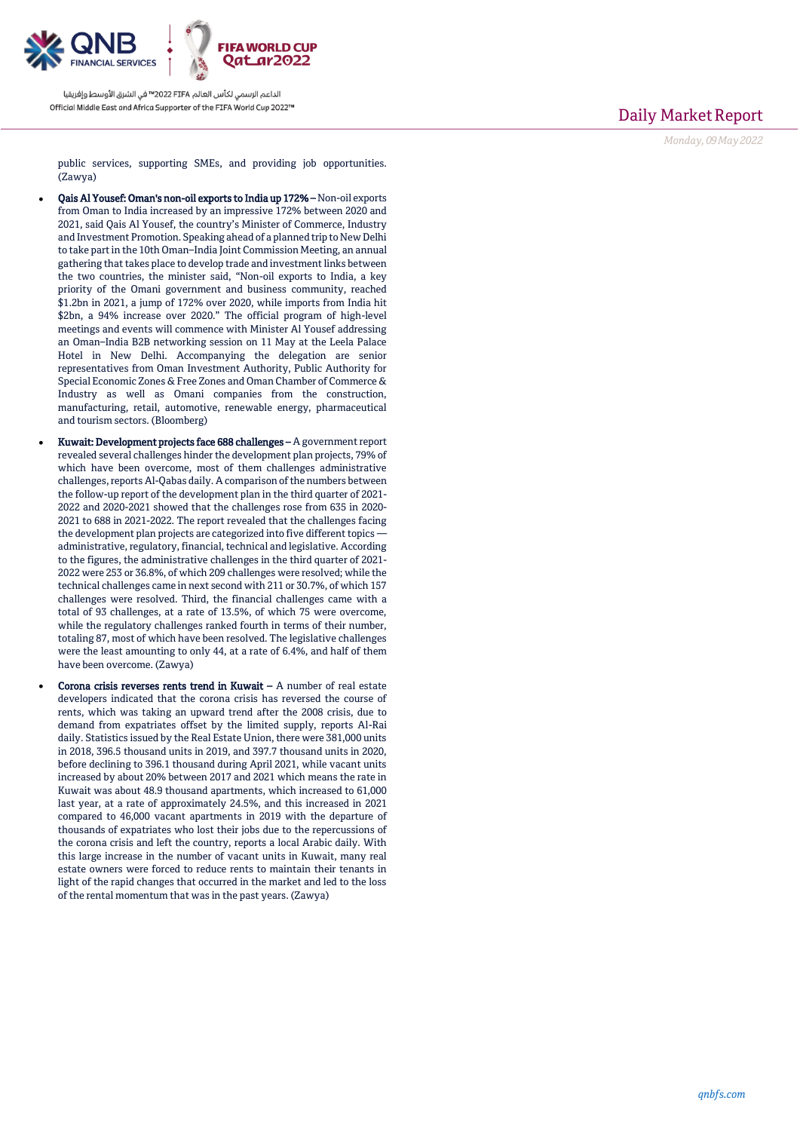

الداعم الرسمي لكأس العالم PIFA≤™ في الشرق الأوسط وإفريقيا Official Middle East and Africa Supporter of the FIFA World Cup 2022™

Daily Market Report

*Monday, 09May2022*

public services, supporting SMEs, and providing job opportunities. (Zawya)

- Qais Al Yousef: Oman's non-oil exports to India up 172% Non-oil exports from Oman to India increased by an impressive 172% between 2020 and 2021, said Qais Al Yousef, the country's Minister of Commerce, Industry and Investment Promotion. Speaking ahead of a planned trip to New Delhi to take part in the 10th Oman–India Joint Commission Meeting, an annual gathering that takes place to develop trade and investment links between the two countries, the minister said, "Non-oil exports to India, a key priority of the Omani government and business community, reached \$1.2bn in 2021, a jump of 172% over 2020, while imports from India hit \$2bn, a 94% increase over 2020." The official program of high-level meetings and events will commence with Minister Al Yousef addressing an Oman–India B2B networking session on 11 May at the Leela Palace Hotel in New Delhi. Accompanying the delegation are senior representatives from Oman Investment Authority, Public Authority for Special Economic Zones & Free Zones and Oman Chamber of Commerce & Industry as well as Omani companies from the construction, manufacturing, retail, automotive, renewable energy, pharmaceutical and tourism sectors. (Bloomberg)
- Kuwait: Development projects face 688 challenges A government report revealed several challenges hinder the development plan projects, 79% of which have been overcome, most of them challenges administrative challenges, reports Al-Qabas daily. A comparison of the numbers between the follow-up report of the development plan in the third quarter of 2021- 2022 and 2020-2021 showed that the challenges rose from 635 in 2020- 2021 to 688 in 2021-2022. The report revealed that the challenges facing the development plan projects are categorized into five different topics administrative, regulatory, financial, technical and legislative. According to the figures, the administrative challenges in the third quarter of 2021- 2022 were 253 or 36.8%, of which 209 challenges were resolved; while the technical challenges came in next second with 211 or 30.7%, of which 157 challenges were resolved. Third, the financial challenges came with a total of 93 challenges, at a rate of 13.5%, of which 75 were overcome, while the regulatory challenges ranked fourth in terms of their number, totaling 87, most of which have been resolved. The legislative challenges were the least amounting to only 44, at a rate of 6.4%, and half of them have been overcome. (Zawya)
	- Corona crisis reverses rents trend in Kuwait A number of real estate developers indicated that the corona crisis has reversed the course of rents, which was taking an upward trend after the 2008 crisis, due to demand from expatriates offset by the limited supply, reports Al-Rai daily. Statistics issued by the Real Estate Union, there were 381,000 units in 2018, 396.5 thousand units in 2019, and 397.7 thousand units in 2020, before declining to 396.1 thousand during April 2021, while vacant units increased by about 20% between 2017 and 2021 which means the rate in Kuwait was about 48.9 thousand apartments, which increased to 61,000 last year, at a rate of approximately 24.5%, and this increased in 2021 compared to 46,000 vacant apartments in 2019 with the departure of thousands of expatriates who lost their jobs due to the repercussions of the corona crisis and left the country, reports a local Arabic daily. With this large increase in the number of vacant units in Kuwait, many real estate owners were forced to reduce rents to maintain their tenants in light of the rapid changes that occurred in the market and led to the loss of the rental momentum that was in the past years. (Zawya)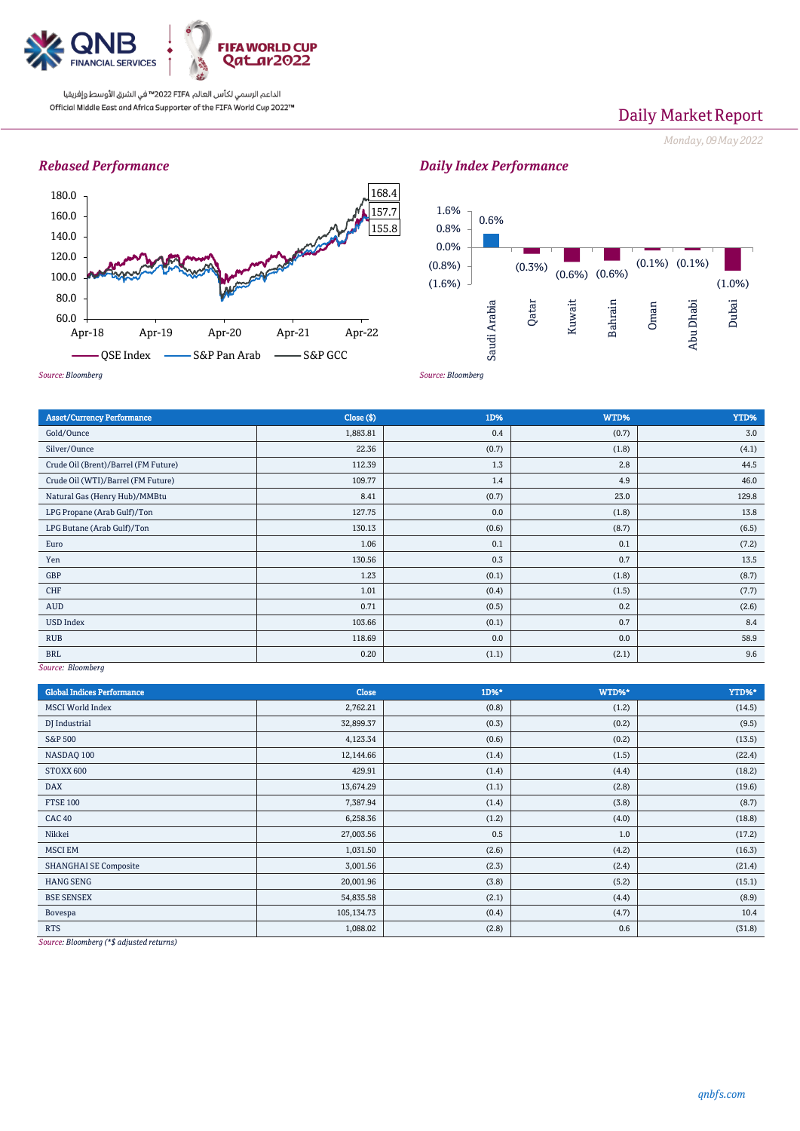

الداعم الرسمي لكأس العالم PIFA™ في الشرق الأوسط وإفريقيا Official Middle East and Africa Supporter of the FIFA World Cup 2022™

## Daily Market Report

*Monday, 09May2022*

### *Rebased Performance*



## *Daily Index Performance*



Asset/Currency Performance Close (\$) 1D% WTD% YTD% Gold/Ounce  $1,883.81$   $0.4$   $0.7$   $(0.7)$   $3.0$ Silver/Ounce  $22.36$   $22.36$   $(0.7)$   $(1.8)$   $(1.8)$   $(1.8)$   $(4.1)$ Crude Oil (Brent)/Barrel (FM Future) 112.39 1.3 2.8 2.8 44.5 Crude Oil (WTI)/Barrel (FM Future) 109.77 1.4 4.9 46.0 Natural Gas (Henry Hub)/MMBtu 129.8 129.8 129.8 129.8 129.8 129.8 129.8 129.8 129.8 129.8 129.8 129.9 129.8 12 LPG Propane (Arab Gulf)/Ton 13.8 13.8 LPG Butane (Arab Gulf)/Ton (6.5) (8.7) (8.7) (8.7) (8.7) (8.7) (8.5) (8.5) (8.5) (8.5) (8.5) (8.5) (6.5) (8.5) Euro  $1.06$   $0.1$   $0.1$   $0.1$   $0.1$   $0.1$   $0.1$   $0.1$   $0.1$   $0.1$   $0.1$   $0.1$   $0.1$ Yen 13.5 0.7 | 13.56 | 130.56 | 130.56 | 20.3 | 20.3 | 20.3 | 20.3 | 20.3 | 20.3 | 20.3 | 20.3 | 20.3 | 20.3 | GBP (8.7) (1.8) (8.7) (1.8) (1.8) (1.8) (1.8) (8.7) (1.8) (1.8) (1.8) (1.8) (1.8) (1.8) (1.8) (1.8) (1.8) (1.8) (1.8) (1.8) (1.8) (1.8) (1.8) (1.8) (1.8) (1.8) (1.8) (1.8) (1.8) (1.8) (1.8) (1.8) (1.8) (1.8) (1.8) (1.8) ( CHF (1.5) (1.5) (1.5) (1.5) (1.5) (1.5) (1.5) (1.5) (1.7) (1.7) (1.7) (1.7) (1.7) (1.7) (1.7) (1.7) (1.7) (1.7) (1.7) (1.7) (1.7) (1.7) (1.7) (1.7) (1.7) (1.7) (1.7) (1.7) (1.7) (1.7) (1.7) (1.7) (1.7) (1.7) (1.7) (1.8) ( AUD  $0.71$  (0.5) 0.2 (2.6) 0.2 (2.6) USD Index  $0.7$  |  $0.84$ RUB 118.69 0.0 0.0 58.9 58.9 58.9  $\,$ BRL  $0.20$   $(1.1)$   $(2.1)$   $(2.1)$ 

*Source: Bloomberg*

| <b>Global Indices Performance</b>                                                                                                                                                     | <b>Close</b> | 1D%*  | WTD%* | YTD%*  |
|---------------------------------------------------------------------------------------------------------------------------------------------------------------------------------------|--------------|-------|-------|--------|
| <b>MSCI</b> World Index                                                                                                                                                               | 2,762.21     | (0.8) | (1.2) | (14.5) |
| DJ Industrial                                                                                                                                                                         | 32,899.37    | (0.3) | (0.2) | (9.5)  |
| <b>S&amp;P 500</b>                                                                                                                                                                    | 4,123.34     | (0.6) | (0.2) | (13.5) |
| NASDAQ 100                                                                                                                                                                            | 12,144.66    | (1.4) | (1.5) | (22.4) |
| STOXX 600                                                                                                                                                                             | 429.91       | (1.4) | (4.4) | (18.2) |
| <b>DAX</b>                                                                                                                                                                            | 13,674.29    | (1.1) | (2.8) | (19.6) |
| <b>FTSE 100</b>                                                                                                                                                                       | 7,387.94     | (1.4) | (3.8) | (8.7)  |
| <b>CAC 40</b>                                                                                                                                                                         | 6,258.36     | (1.2) | (4.0) | (18.8) |
| Nikkei                                                                                                                                                                                | 27,003.56    | 0.5   | 1.0   | (17.2) |
| <b>MSCI EM</b>                                                                                                                                                                        | 1,031.50     | (2.6) | (4.2) | (16.3) |
| <b>SHANGHAI SE Composite</b>                                                                                                                                                          | 3,001.56     | (2.3) | (2.4) | (21.4) |
| <b>HANG SENG</b>                                                                                                                                                                      | 20,001.96    | (3.8) | (5.2) | (15.1) |
| <b>BSE SENSEX</b>                                                                                                                                                                     | 54,835.58    | (2.1) | (4.4) | (8.9)  |
| Bovespa                                                                                                                                                                               | 105,134.73   | (0.4) | (4.7) | 10.4   |
| <b>RTS</b><br>$\frac{1}{2}$ and $\frac{1}{2}$ and $\frac{1}{2}$ and $\frac{1}{2}$ and $\frac{1}{2}$ and $\frac{1}{2}$ and $\frac{1}{2}$ and $\frac{1}{2}$ and $\frac{1}{2}$<br>$\sim$ | 1,088.02     | (2.8) | 0.6   | (31.8) |

*Source: Bloomberg (\*\$ adjusted returns)*